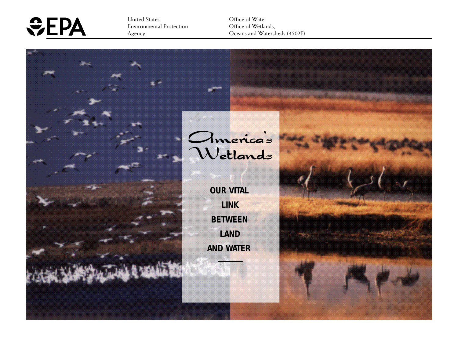

United States Environmental Protection Agency

Office of Water Office of Wetlands, Oceans and Watersheds (4502F)

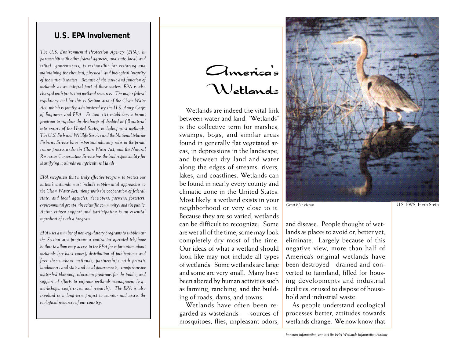#### **U.S. EPA Involvement**

*The U.S. Environmental Protection Agency (EPA), in partnership with other federal agencies, and state, local, and tribal governments, is responsible for restoring and maintaining the chemical, physical, and biological integrity of the nation's waters. Because of the value and function of wetlands as an integral part of those waters, EPA is also charged with protecting wetland resources. The major federal regulatory tool for this is Section 404 of the Clean Water Act, which is jointly administered by the U.S. Army Corps of Engineers and EPA. Section 404 establishes a permit program to regulate the discharge of dredged or fill material into waters of the United States, including most wetlands. The U.S. Fish and Wildlife Service and the National Marine Fisheries Service have important advisory roles in the permit review process under the Clean Water Act, and the Natural Resources Conservation Service has the lead responsibility for identifying wetlands on agricultural lands.*

*EPA recognizes that a truly effective program to protect our nation's wetlands must include supplemental approaches to the Clean Water Act, along with the cooperation of federal, state, and local agencies; developers; farmers; foresters; environmental groups; the scientific community; and the public. Active citizen support and participation is an essential ingredient of such a program.*

*EPA uses a number of non-regulatory programs to supplement the Section 404 program: a contractor-operated telephone hotline to allow easy access to the EPA for information about wetlands (see back cover); distribution of publications and fact sheets about wetlands; partnerships with private landowners and state and local governments; comprehensive watershed planning; education programs for the public; and support of efforts to improve wetlands management (e.g., workshops, conferences, and research). The EPA is also involved in a long-term project to monitor and assess the ecological resources of our country.*

# America's Wetlands

Wetlands are indeed the vital link between water and land. "Wetlands" is the collective term for marshes, swamps, bogs, and similar areas found in generally flat vegetated areas, in depressions in the landscape, and between dry land and water along the edges of streams, rivers, lakes, and coastlines. Wetlands can be found in nearly every county and climatic zone in the United States. Most likely, a wetland exists in your neighborhood or very close to it. Because they are so varied, wetlands can be difficult to recognize. Some are wet all of the time; some may look completely dry most of the time. Our ideas of what a wetland should look like may not include all types of wetlands. Some wetlands are large and some are very small. Many have been altered by human activities such as farming, ranching, and the building of roads, dams, and towns.

Wetlands have often been regarded as wastelands — sources of mosquitoes, flies, unpleasant odors,



*Great Blue Heron* U.S. FWS, Herb Stein

and disease. People thought of wetlands as places to avoid or, better yet, eliminate. Largely because of this negative view, more than half of America's original wetlands have been destroyed—drained and converted to farmland, filled for housing developments and industrial facilities, or used to dispose of household and industrial waste.

As people understand ecological processes better, attitudes towards wetlands change. We now know that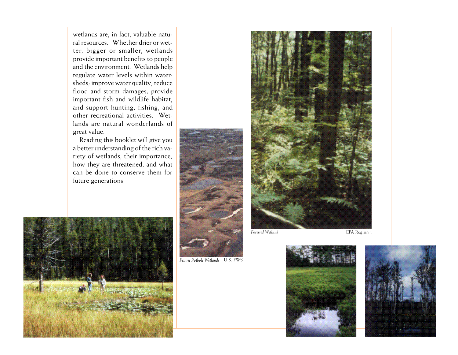wetlands are, in fact, valuable natural resources. Whether drier or wetter, bigger or smaller, wetlands provide important benefits to people and the environment. Wetlands help regulate water levels within watersheds; improve water quality; reduce flood and storm damages; provide important fish and wildlife habitat; and support hunting, fishing, and other recreational activities. Wetlands are natural wonderlands of great value.

Reading this booklet will give you a better understanding of the rich variety of wetlands, their importance, how they are threatened, and what can be done to conserve them for future generations.



*Prairie Pothole Wetlands* U.S. FWS





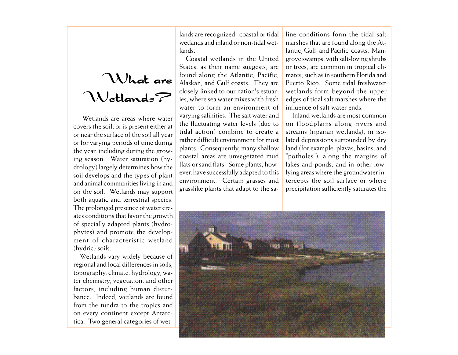## What are Wetlands?

 Wetlands are areas where water covers the soil, or is present either at or near the surface of the soil all year or for varying periods of time during the year, including during the growing season. Water saturation (hydrology) largely determines how the soil develops and the types of plant and animal communities living in and on the soil. Wetlands may support both aquatic and terrestrial species. The prolonged presence of water creates conditions that favor the growth of specially adapted plants (hydrophytes) and promote the development of characteristic wetland (hydric) soils.

Wetlands vary widely because of regional and local differences in soils, topography, climate, hydrology, water chemistry, vegetation, and other factors, including human disturbance. Indeed, wetlands are found from the tundra to the tropics and on every continent except Antarctica. Two general categories of wetlands are recognized: coastal or tidal wetlands and inland or non-tidal wetlands.

Coastal wetlands in the United States, as their name suggests, are found along the Atlantic, Pacific, Alaskan, and Gulf coasts. They are closely linked to our nation's estuaries, where sea water mixes with fresh water to form an environment of varying salinities. The salt water and the fluctuating water levels (due to tidal action) combine to create a rather difficult environment for most plants. Consequently, many shallow coastal areas are unvegetated mud flats or sand flats. Some plants, however, have successfully adapted to this environment. Certain grasses and grasslike plants that adapt to the sa-

line conditions form the tidal salt marshes that are found along the Atlantic, Gulf, and Pacific coasts. Mangrove swamps, with salt-loving shrubs or trees, are common in tropical climates, such as in southern Florida and Puerto Rico. Some tidal freshwater wetlands form beyond the upper edges of tidal salt marshes where the influence of salt water ends.

Inland wetlands are most common on floodplains along rivers and streams (riparian wetlands), in isolated depressions surrounded by dry land (for example, playas, basins, and "potholes"), along the margins of lakes and ponds, and in other lowlying areas where the groundwater intercepts the soil surface or where precipitation sufficiently saturates the

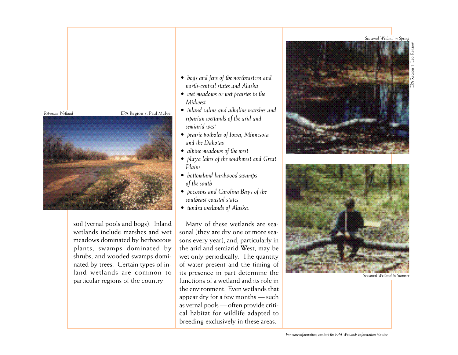*Seasonal Wetland in Spring*





soil (vernal pools and bogs). Inland wetlands include marshes and wet meadows dominated by herbaceous plants, swamps dominated by shrubs, and wooded swamps dominated by trees. Certain types of inland wetlands are common to particular regions of the country:

- *bogs and fens of the northeastern and north-central states and Alaska*
- *wet meadows or wet prairies in the Midwest*
- *inland saline and alkaline marshes and riparian wetlands of the arid and semiarid west*
- *prairie potholes of Iowa, Minnesota and the Dakotas*
- *alpine meadows of the west*
- *playa lakes of the southwest and Great Plains*
- *bottomland hardwood swamps of the south*
- *pocosins and Carolina Bays of the southeast coastal states*
- *tundra wetlands of Alaska.*

Many of these wetlands are seasonal (they are dry one or more seasons every year), and, particularly in the arid and semiarid West, may be wet only periodically. The quantity of water present and the timing of its presence in part determine the functions of a wetland and its role in the environment. Even wetlands that appear dry for a few months — such as vernal pools — often provide critical habitat for wildlife adapted to breeding exclusively in these areas.





*Seasonal Wetland in Summer*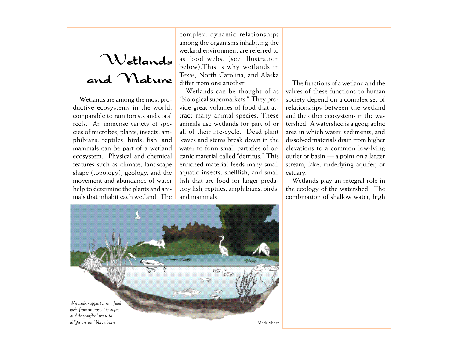# Wetlands

Wetlands are among the most productive ecosystems in the world, comparable to rain forests and coral reefs. An immense variety of species of microbes, plants, insects, amphibians, reptiles, birds, fish, and mammals can be part of a wetland ecosystem. Physical and chemical features such as climate, landscape shape (topology), geology, and the movement and abundance of water help to determine the plants and animals that inhabit each wetland. The

complex, dynamic relationships among the organisms inhabiting the wetland environment are referred to as food webs. (see illustration below).This is why wetlands in Texas, North Carolina, and Alaska differ from one another. and Mature Texas, North Carolina, and Alaska<br>differ from one another.

> Wetlands can be thought of as "biological supermarkets." They provide great volumes of food that attract many animal species. These animals use wetlands for part of or all of their life-cycle. Dead plant leaves and stems break down in the water to form small particles of organic material called "detritus." This enriched material feeds many small aquatic insects, shellfish, and small fish that are food for larger predatory fish, reptiles, amphibians, birds, and mammals.

values of these functions to human society depend on a complex set of relationships between the wetland and the other ecosystems in the watershed. A watershed is a geographic area in which water, sediments, and dissolved materials drain from higher elevations to a common low-lying outlet or basin — a point on a larger stream, lake, underlying aquifer, or estuary.

Wetlands play an integral role in the ecology of the watershed. The combination of shallow water, high

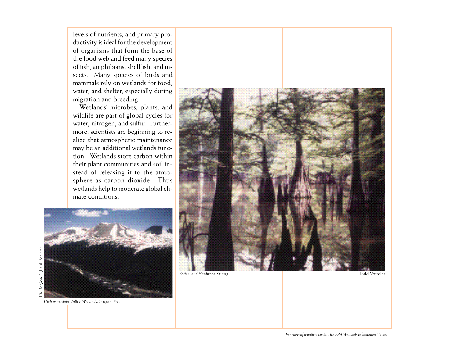levels of nutrients, and primary productivity is ideal for the development of organisms that form the base of the food web and feed many species of fish, amphibians, shellfish, and insects. Many species of birds and mammals rely on wetlands for food, water, and shelter, especially during migration and breeding.

Wetlands' microbes, plants, and wildlife are part of global cycles for water, nitrogen, and sulfur. Furthermore, scientists are beginning to realize that atmospheric maintenance may be an additional wetlands function. Wetlands store carbon within their plant communities and soil instead of releasing it to the atmosphere as carbon dioxide. Thus wetlands help to moderate global climate conditions.



*High Mountain Valley Wetland at 10,000 Feet*

**EPA** Region 8, Paul McIver

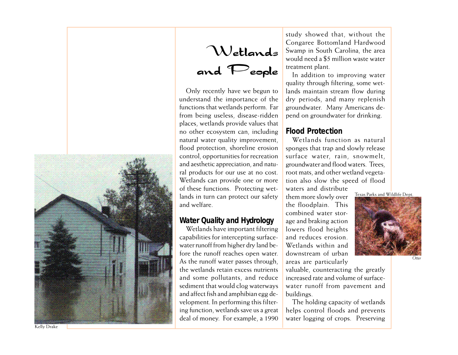

Wetlands and People

Only recently have we begun to understand the importance of the functions that wetlands perform. Far from being useless, disease-ridden places, wetlands provide values that no other ecosystem can, including natural water quality improvement, flood protection, shoreline erosion control, opportunities for recreation and aesthetic appreciation, and natural products for our use at no cost. Wetlands can provide one or more of these functions. Protecting wetlands in turn can protect our safety and welfare.

#### **Water Quality and Hydrology**

Wetlands have important filtering capabilities for intercepting surfacewater runoff from higher dry land before the runoff reaches open water. As the runoff water passes through, the wetlands retain excess nutrients and some pollutants, and reduce sediment that would clog waterways and affect fish and amphibian egg development. In performing this filtering function, wetlands save us a great deal of money. For example, a 1990 study showed that, without the Congaree Bottomland Hardwood Swamp in South Carolina, the area would need a \$5 million waste water treatment plant.

In addition to improving water quality through filtering, some wetlands maintain stream flow during dry periods, and many replenish groundwater. Many Americans depend on groundwater for drinking.

#### **Flood Protection**

Wetlands function as natural sponges that trap and slowly release surface water, rain, snowmelt, groundwater and flood waters. Trees, root mats, and other wetland vegetation also slow the speed of flood

waters and distribute them more slowly over the floodplain. This combined water storage and braking action lowers flood heights and reduces erosion. Wetlands within and downstream of urban areas are particularly

valuable, counteracting the greatly increased rate and volume of surfacewater runoff from pavement and buildings.

The holding capacity of wetlands helps control floods and prevents water logging of crops. Preserving



Texas Parks and Wildlife Dept.

*Otter*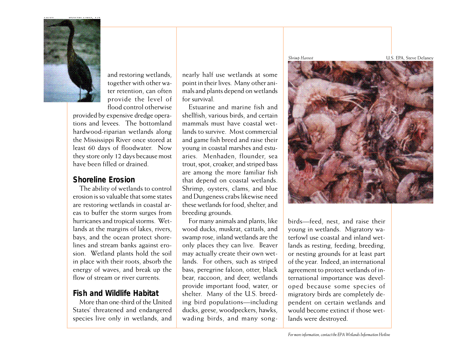

and restoring wetlands, together with other water retention, can often provide the level of flood control otherwise

provided by expensive dredge operations and levees. The bottomland hardwood-riparian wetlands along the Mississippi River once stored at least 60 days of floodwater. Now they store only 12 days because most have been filled or drained.

#### **Shoreline Erosion**

The ability of wetlands to control erosion is so valuable that some states are restoring wetlands in coastal areas to buffer the storm surges from hurricanes and tropical storms. Wetlands at the margins of lakes, rivers, bays, and the ocean protect shorelines and stream banks against erosion. Wetland plants hold the soil in place with their roots, absorb the energy of waves, and break up the flow of stream or river currents.

#### **Fish and Wildlife Habitat**

More than one-third of the United States' threatened and endangered species live only in wetlands, and

nearly half use wetlands at some point in their lives. Many other animals and plants depend on wetlands for survival.

Estuarine and marine fish and shellfish, various birds, and certain mammals must have coastal wetlands to survive. Most commercial and game fish breed and raise their young in coastal marshes and estuaries. Menhaden, flounder, sea trout, spot, croaker, and striped bass are among the more familiar fish that depend on coastal wetlands. Shrimp, oysters, clams, and blue and Dungeness crabs likewise need these wetlands for food, shelter, and breeding grounds.

For many animals and plants, like wood ducks, muskrat, cattails, and swamp rose, inland wetlands are the only places they can live. Beaver may actually create their own wetlands. For others, such as striped bass, peregrine falcon, otter, black bear, raccoon, and deer, wetlands provide important food, water, or shelter. Many of the U.S. breeding bird populations—including ducks, geese, woodpeckers, hawks, wading birds, and many song-

*Shrimp Harvest* U.S. EPA, Steve Delaney

birds—feed, nest, and raise their young in wetlands. Migratory waterfowl use coastal and inland wetlands as resting, feeding, breeding, or nesting grounds for at least part of the year. Indeed, an international agreement to protect wetlands of international importance was developed because some species of migratory birds are completely dependent on certain wetlands and would become extinct if those wetlands were destroyed.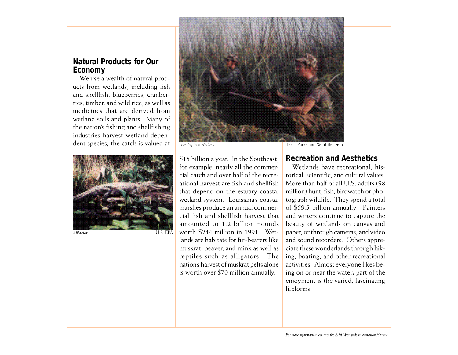#### **Natural Products for Our Economy**

We use a wealth of natural products from wetlands, including fish and shellfish, blueberries, cranberries, timber, and wild rice, as well as medicines that are derived from wetland soils and plants. Many of the nation's fishing and shellfishing industries harvest wetland-dependent species; the catch is valued at



*Alligator*



\$15 billion a year. In the Southeast, for example, nearly all the commercial catch and over half of the recreational harvest are fish and shellfish that depend on the estuary-coastal wetland system. Louisiana's coastal marshes produce an annual commercial fish and shellfish harvest that amounted to 1.2 billion pounds worth \$244 million in 1991. Wetlands are habitats for fur-bearers like muskrat, beaver, and mink as well as reptiles such as alligators. The nation's harvest of muskrat pelts alone is worth over \$70 million annually.

**Recreation and Aesthetics**

Wetlands have recreational, historical, scientific, and cultural values. More than half of all U.S. adults (98 million) hunt, fish, birdwatch or photograph wildlife. They spend a total of \$59.5 billion annually. Painters and writers continue to capture the beauty of wetlands on canvas and paper, or through cameras, and video and sound recorders. Others appreciate these wonderlands through hiking, boating, and other recreational activities. Almost everyone likes being on or near the water; part of the enjoyment is the varied, fascinating lifeforms.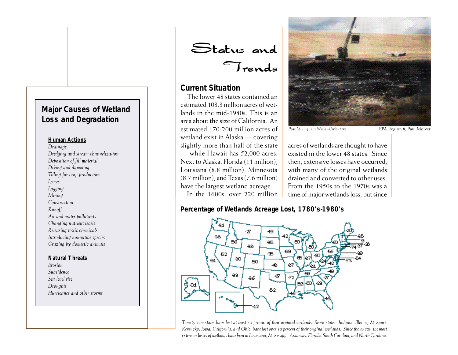#### **Major Causes of Wetland Loss and Degradation**

#### **Human Actions**

*Drainage Dredging and stream channelization Deposition of fill material Diking and damming Tilling for crop production Levees Logging Mining Construction Runoff Air and water pollutants Changing nutrient levels Releasing toxic chemicals Introducing nonnative species Grazing by domestic animals*

#### **Natural Threats**

*Erosion Subsidence Sea level rise Droughts Hurricanes and other storms*

Status and Trends

#### **Current Situation**

The lower 48 states contained an estimated 103.3 million acres of wetlands in the mid-1980s. This is an area about the size of California. An estimated 170-200 million acres of wetland exist in Alaska — covering slightly more than half of the state — while Hawaii has 52,000 acres. Next to Alaska, Florida (11 million), Louisiana (8.8 million), Minnesota (8.7 million), and Texas (7.6 million) have the largest wetland acreage. In the 1600s, over 220 million



*Peat Mining in a Wetland/Montane* EPA Region 8, Paul McIver

acres of wetlands are thought to have existed in the lower 48 states. Since then, extensive losses have occurred, with many of the original wetlands drained and converted to other uses. From the 1950s to the 1970s was a time of major wetlands loss, but since

**Percentage of Wetlands Acreage Lost, 1780's-1980's**



*Twenty-two states have lost at least 50 percent of their original wetlands. Seven states- Indiana, Illinois, Missouri, Kentucky, Iowa, California, and Ohio have lost over 80 percent of their original wetlands. Since the 1970s, the most extensive losses of wetlands have been in Louisiana, Mississippi, Arkansas, Florida, South Carolina, and North Carolina.*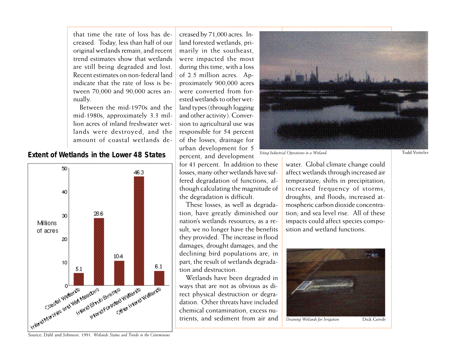that time the rate of loss has decreased. Today, less than half of our original wetlands remain, and recent trend estimates show that wetlands are still being degraded and lost. Recent estimates on non-federal land indicate that the rate of loss is between 70,000 and 90,000 acres annually.

Between the mid-1970s and the mid-1980s, approximately 3.3 million acres of inland freshwater wetlands were destroyed, and the amount of coastal wetlands de-

**Extent of Wetlands in the Lower 48 States**



creased by 71,000 acres. Inland forested wetlands, primarily in the southeast, were impacted the most during this time, with a loss of 2.5 million acres. Approximately 900,000 acres were converted from forested wetlands to other wetland types (through logging and other activity). Conversion to agricultural use was responsible for 54 percent of the losses, drainage for urban development for 5 percent, and development

for 41 percent. In addition to these losses, many other wetlands have suffered degradation of functions, although calculating the magnitude of the degradation is difficult.

These losses, as well as degradation, have greatly diminished our nation's wetlands resources; as a result, we no longer have the benefits they provided. The increase in flood damages, drought damages, and the declining bird populations are, in part, the result of wetlands degradation and destruction.

Wetlands have been degraded in ways that are not as obvious as direct physical destruction or degradation. Other threats have included chemical contamination, excess nutrients, and sediment from air and



**Siting Industrial Operations in a Wetland** Todd Votteler

water. Global climate change could affect wetlands through increased air temperature; shifts in precipitation; increased frequency of storms, droughts, and floods; increased atmospheric carbon dioxide concentration; and sea level rise. All of these impacts could affect species composition and wetland functions.



*Draining Wetlands for Irrigation* Dick Gersib

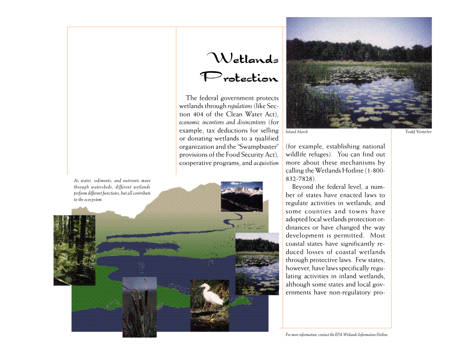## Wetlands Protection

The federal government protects wetlands through *regulations* (like Section 404 of the Clean Water Act), *economic incentives and disincentives* (for example, tax deductions for selling or donating wetlands to a qualified organization and the "Swampbuster" provisions of the Food Security Act), cooperative programs, and *acquisition*

*As water, sediments, and nutrients move through watersheds, different wetlands perform different functions, but all contribute to the ecosystem.*





(for example, establishing national wildlife refuges). You can find out more about these mechanisms by calling the Wetlands Hotline (1-800- 832-7828).

Beyond the federal level, a number of states have enacted laws to regulate activities in wetlands, and some counties and towns have adopted local wetlands protection ordinances or have changed the way development is permitted. Most coastal states have significantly reduced losses of coastal wetlands through protective laws. Few states, however, have laws specifically regulating activities in inland wetlands, although some states and local governments have non-regulatory pro-

*For more information, contact the EPA Wetlands Information Hotline*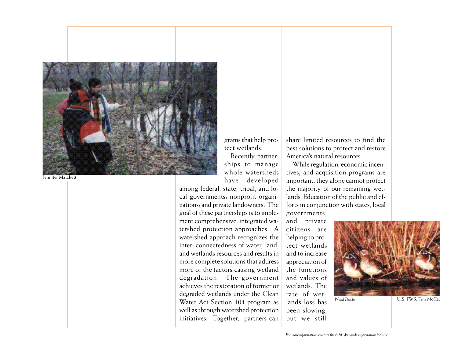

Jennifer Matchett

grams that help protect wetlands.

Recently, partnerships to manage whole watersheds have developed

among federal, state, tribal, and local governments; nonprofit organizations; and private landowners. The goal of these partnerships is to implement comprehensive, integrated watershed protection approaches. A watershed approach recognizes the inter- connectedness of water, land, and wetlands resources and results in more complete solutions that address more of the factors causing wetland degradation. The government achieves the restoration of former or degraded wetlands under the Clean Water Act Section 404 program as well as through watershed protection initiatives. Together, partners can

share limited resources to find the best solutions to protect and restore America's natural resources.

While regulation, economic incentives, and acquisition programs are important, they alone cannot protect the majority of our remaining wetlands. Education of the public and efforts in conjunction with states, local governments,

and private citizens are helping to protect wetlands and to increase appreciation of the functions and values of wetlands. The rate of wetlands loss has been slowing, but we still



Wood Ducks **U.S. FWS**, Tim McCal

*For more information, contact the EPA Wetlands Information Hotline*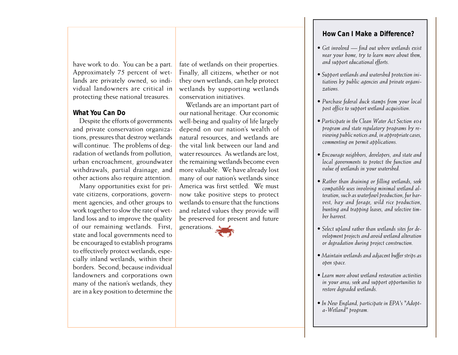have work to do. You can be a part. Approximately 75 percent of wetlands are privately owned, so individual landowners are critical in protecting these national treasures.

#### **What You Can Do**

Despite the efforts of governments and private conservation organizations, pressures that destroy wetlands will continue. The problems of degradation of wetlands from pollution, urban encroachment, groundwater withdrawals, partial drainage, and other actions also require attention.

Many opportunities exist for private citizens, corporations, government agencies, and other groups to work together to slow the rate of wetland loss and to improve the quality of our remaining wetlands. First, state and local governments need to be encouraged to establish programs to effectively protect wetlands, especially inland wetlands, within their borders. Second, because individual landowners and corporations own many of the nation's wetlands, they are in a key position to determine the

fate of wetlands on their properties. Finally, all citizens, whether or not they own wetlands, can help protect wetlands by supporting wetlands conservation initiatives.

Wetlands are an important part of our national heritage. Our economic well-being and quality of life largely depend on our nation's wealth of natural resources, and wetlands are the vital link between our land and water resources. As wetlands are lost, the remaining wetlands become even more valuable. We have already lost many of our nation's wetlands since America was first settled. We must now take positive steps to protect wetlands to ensure that the functions and related values they provide will be preserved for present and future



#### **How Can I Make a Difference?**

- *Get involved find out where wetlands exist near your home, try to learn more about them, and support educational efforts.*
- *Support wetlands and watershed protection initiatives by public agencies and private organizations.*
- *Purchase federal duck stamps from your local post office to support wetland acquisition.*
- *Participate in the Clean Water Act Section 404 program and state regulatory programs by reviewing public notices and, in appropriate cases, commenting on permit applications.*
- *Encourage neighbors, developers, and state and local governments to protect the function and value of wetlands in your watershed.*
- *Rather than draining or filling wetlands, seek compatible uses involving minimal wetland alteration, such as waterfowl production, fur harvest, hay and forage, wild rice production, hunting and trapping leases, and selective timber harvest.*
- *Select upland rather than wetlands sites for development projects and avoid wetland alteration or degradation during project construction.*
- *Maintain wetlands and adjacent buffer strips as open space.*
- *Learn more about wetland restoration activities in your area; seek and support opportunities to restore degraded wetlands.*
- *In New England, participate in EPA's "Adopta-Wetland" program.*